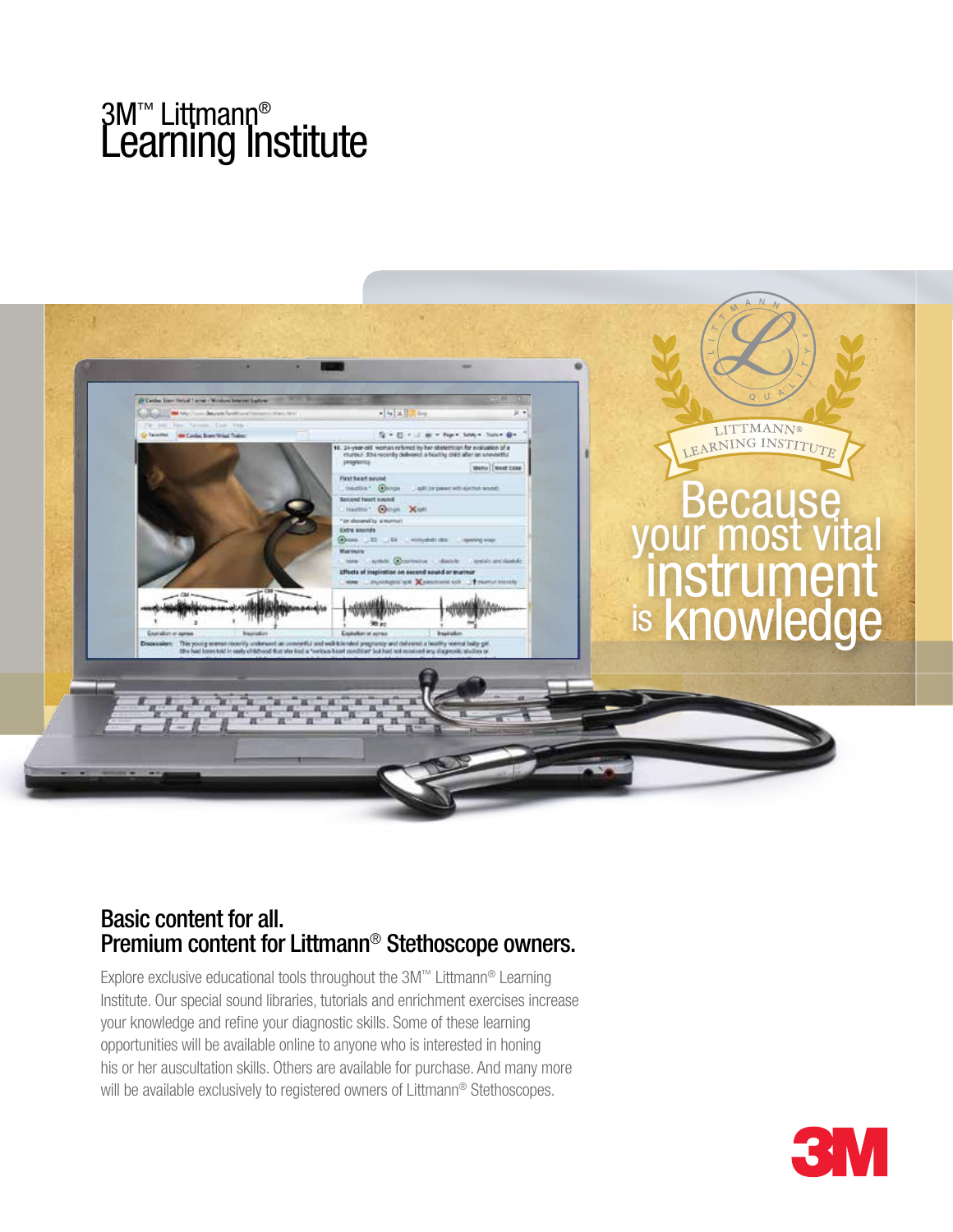# 3M™ Littmann® Lëarning Institute



## Basic content for all. Premium content for Littmann® Stethoscope owners.

Explore exclusive educational tools throughout the 3M™ Littmann® Learning Institute. Our special sound libraries, tutorials and enrichment exercises increase your knowledge and refine your diagnostic skills. Some of these learning opportunities will be available online to anyone who is interested in honing his or her auscultation skills. Others are available for purchase. And many more will be available exclusively to registered owners of Littmann® Stethoscopes.